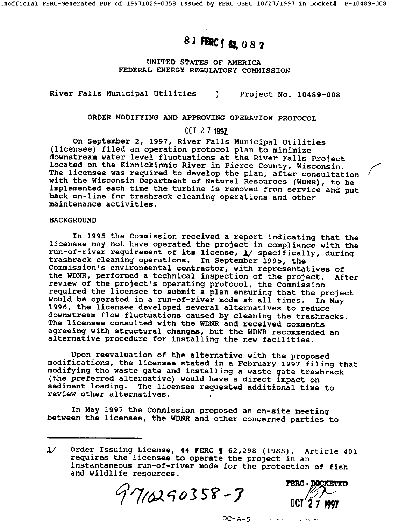# 81 FERC1 62 087

UNITED STATES OF AMERICA FEDERAL ENERGY REGULATORY COMMISSION

River Falls Municipal Utilities ) Project No. 10489-008

ORDER MODIFYING AND APPROVING OPERATION PROTOCOL

## $OCT$  2 7 1997

On September 2, 1997, River Falls Municipal Utilities (licensee) filed an operation protocol plan to minimize downstream water level fluctuations at the River Falls Project located on the Kinnickinnic River in Pierce County, Wisconsin. The licensee was required to develop the plan, after consultation with the Wisconsin Department of Natural Resources (WDNR), to be implemented each time the turbine is removed from service and put back on-llne for trashrack cleaning operations and other maintenance activities.

### BACKGROUND

In 1995 the Commission received a report indicating that the licensee may not have operated the project in compliance with the run-of-river requirement of its license, 1/ specifically, during trashrack cleaning operations. In September 1995, the Commission's environmental contractor, with representatives of the WDNR, performed a technical inspection of the project. After review of the project's operating protocol, the Commission required the licensee to submit a plan ensuring that the project would be operated in a run-of-river mode at all times. In May 1996, the licensee developed several alternatives to reduce downstream flow fluctuations caused by cleaning the trashracks. The licensee consulted with the WDNR and received comments agreeing with structural changes, but the WDNR recommended an alternative procedure for installing the new facilities.

Upon reevaluation of the alternative with the proposed modifications, the licensee stated in a February 1997 filing that modifying the waste gate and installing a waste gate trashrack (the preferred alternative) would have a direct impact on sediment loading. The licensee requested additional time to review other alternatives.

In May 1997 the Commission proposed an on-site meeting between the licensee, the WDNR and other concerned parties to

 $7'7$ 10290358-3



 $\alpha$  and  $\alpha$ 

f

 $DC-A-5$  $\omega_{\rm{max}}$  and  $\omega_{\rm{max}}$ 

<sup>1/</sup> Order Issuing License, 44 FERC 1 62,298 (1988). Article 401 requires the licensee to operate the project in an instantaneous run-of-river mode for the protection of fish and wildlife resources.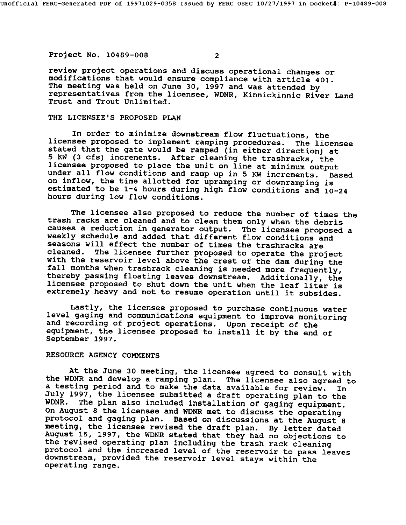Project No. 10489-008 2

review project operations and discuss operational changes or modifications that would ensure compliance with article 401. The meeting was held on June 30, 1997 and was attended by representatives from the licensee, WDNR, Kinnickinnic River Land Trust and Trout Unlimited.

#### THE LICENSEE'S PROPOSED PLAN

In order to minimize downstream flow fluctuations, the licensee proposed to implement ramping procedures. The licensee stated that the gate would be ramped (in either direction) at 5 KW (3 cfs) increments. After cleaning the trashracks, the licensee proposed to place the unit on line at minimum output under all flow conditions and ramp up in 5 KW increments. Based on inflow, the time allotted for upramping or downramping is estimated to be 1-4 hours during high flow conditions and 10-24 hours during low flow conditions.

The licensee also proposed to reduce the number of times the trash racks are cleaned and to clean them only when the debris causes a reduction in generator output. The licensee proposed a weekly schedule and added that different flow conditions and seasons will effect the number of times the trashracks are<br>cleaned. The licensee further proposed to operate the proj The licensee further proposed to operate the project with the reservoir level above the crest of the dam during the fall months when trashrack cleaning is needed more frequently, thereby passing floating leaves downstream. Additionally, the licensee proposed to shut down the unit when the leaf liter is extremely heavy and not to resume operation until it subsides.

Lastly, the licensee proposed to purchase continuous water level gaging and communications equipment to improve monitoring and recording of project operations. Upon receipt of the equipment, the licensee proposed to install it by the end of September 1997.

#### RESOURCE AGENCY COMMENTS

At the June 30 meeting, the licensee agreed to consult with the WDNR and develop a ramping plan. The licensee also agreed to a testing period and to make the data available for review. In July 1997, the licensee submitted a draft operating plan to the WDNR. The plan also included installation of gaging equipment. on August 8 the licensee and WDNR met to discuss the operating protocol and gaging plan. Based on discussions at the August 8 meeting, the licensee revised the draft plan. By letter dated August 15, 1997, the WDNR stated that they had no objections to the revised operating plan including the trash rack cleaning protocol and the increased level of the reservoir to pass leaves downstream, provided the reservoir level stays within the operating range.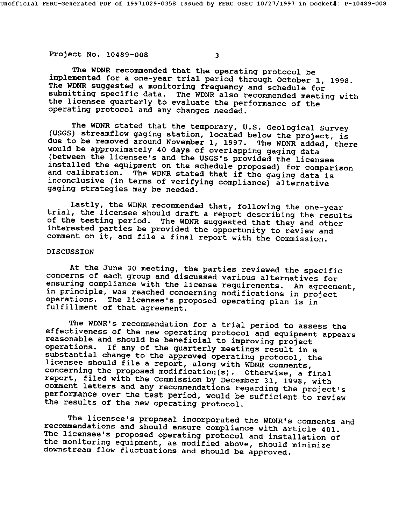Project No. 10489-008 3

The WDNR recommended that the operating protocol be implemented for a one-year trial period through October I, 1998. The WDNR suggested a monitoring frequency and schedule for submitting specific data. The WDNR also recommended meeting with the licensee quarterly to evaluate the performance of the operating protocol and any changes needed.

The WDNR stated that the temporary, U.S. Geological Survey (USGS) streamflow gaging station, located below the project, is due to be removed around November I, 1997. The WDNR added, there would be approximately 40 days of overlapping gaging data (between the licensee's and the USGS's provided the licensee installed the equipment on the schedule proposed) for comparison and calibration. The WDNR stated that if the gaging data is inconclusive (in terms of verifying compliance) alternative gaging strategies may be needed.

Lastly, the WDNR recommended that, following the one-year trial, the licensee should draft a report describing the results of the testing period. The WDNR suggested that they and other interested parties be provided the opportunity to review and comment on it, and file a final report with the Commission.

## DISCUSSION

At the June 30 meeting, the parties reviewed the specific concerns of each group and discussed various alternatives for ensuring compliance with the license requirements. An agreement, in principle, was reached concerning modifications in project<br>operations. The licensee's proposed operating plan is in The licensee's proposed operating plan is in fulfillment of that agreement.

The WDNR's recommendation for a trial period to assess the effectiveness of the new operating protocol and equipment appears reasonable and should be beneficial to improving project operations. If any of the quarterly meetings result in a substantial change to the approved operating protocol, the licensee should file a report, along with WDNR comments, concerning the proposed modification(s). Otherwise, a final report, filed with the Commission by December 31, 1998, with comment letters and any recommendations regarding the project's performance over the test period, would be sufficient to review the results of the new operating protocol.

The licensee's proposal incorporated the WDNR's comments and recommendations and should ensure compliance with article 401. The licensee's proposed operating protocol and installation of the monitoring equipment, as modified above, should minimize downstream flow fluctuations and should be approved.